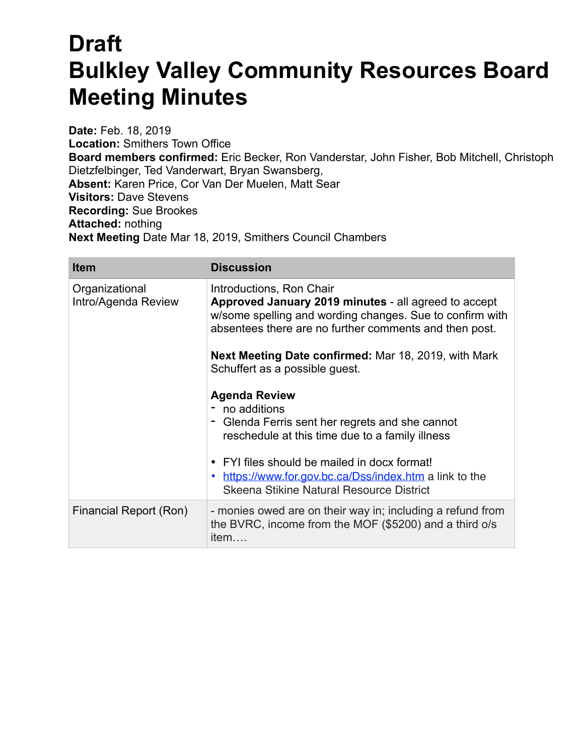## **Draft Bulkley Valley Community Resources Board Meeting Minutes**

**Date:** Feb. 18, 2019 **Location:** Smithers Town Office **Board members confirmed:** Eric Becker, Ron Vanderstar, John Fisher, Bob Mitchell, Christoph Dietzfelbinger, Ted Vanderwart, Bryan Swansberg, **Absent:** Karen Price, Cor Van Der Muelen, Matt Sear **Visitors:** Dave Stevens **Recording:** Sue Brookes **Attached:** nothing **Next Meeting** Date Mar 18, 2019, Smithers Council Chambers

| <b>Item</b>                           | <b>Discussion</b>                                                                                                                                                                                      |
|---------------------------------------|--------------------------------------------------------------------------------------------------------------------------------------------------------------------------------------------------------|
| Organizational<br>Intro/Agenda Review | Introductions, Ron Chair<br>Approved January 2019 minutes - all agreed to accept<br>w/some spelling and wording changes. Sue to confirm with<br>absentees there are no further comments and then post. |
|                                       | <b>Next Meeting Date confirmed: Mar 18, 2019, with Mark</b><br>Schuffert as a possible guest.                                                                                                          |
|                                       | <b>Agenda Review</b><br>- no additions<br>Glenda Ferris sent her regrets and she cannot<br>reschedule at this time due to a family illness                                                             |
|                                       | • FYI files should be mailed in docx format!<br>https://www.for.gov.bc.ca/Dss/index.htm a link to the<br>Skeena Stikine Natural Resource District                                                      |
| Financial Report (Ron)                | - monies owed are on their way in; including a refund from<br>the BVRC, income from the MOF (\$5200) and a third o/s<br>item                                                                           |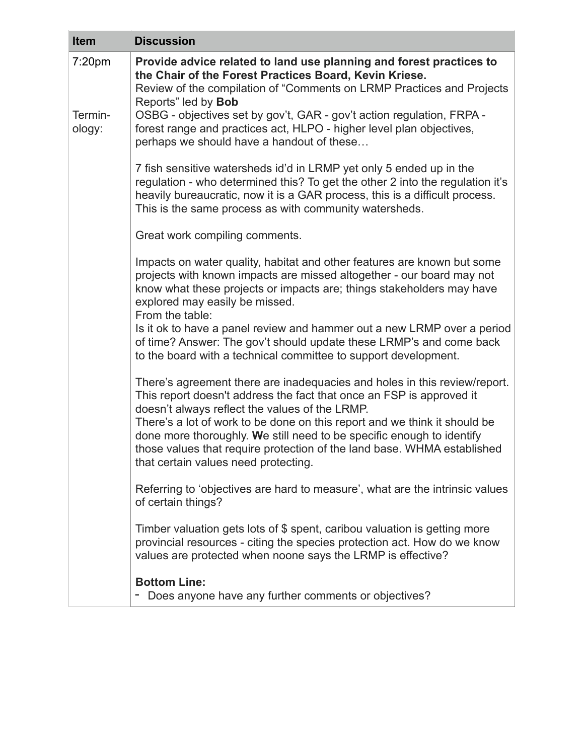| <b>Item</b>       | <b>Discussion</b>                                                                                                                                                                                                                                                                             |
|-------------------|-----------------------------------------------------------------------------------------------------------------------------------------------------------------------------------------------------------------------------------------------------------------------------------------------|
| 7:20pm            | Provide advice related to land use planning and forest practices to<br>the Chair of the Forest Practices Board, Kevin Kriese.<br>Review of the compilation of "Comments on LRMP Practices and Projects<br>Reports" led by Bob                                                                 |
| Termin-<br>ology: | OSBG - objectives set by gov't, GAR - gov't action regulation, FRPA -<br>forest range and practices act, HLPO - higher level plan objectives,<br>perhaps we should have a handout of these                                                                                                    |
|                   | 7 fish sensitive watersheds id'd in LRMP yet only 5 ended up in the<br>regulation - who determined this? To get the other 2 into the regulation it's<br>heavily bureaucratic, now it is a GAR process, this is a difficult process.<br>This is the same process as with community watersheds. |
|                   | Great work compiling comments.                                                                                                                                                                                                                                                                |
|                   | Impacts on water quality, habitat and other features are known but some<br>projects with known impacts are missed altogether - our board may not<br>know what these projects or impacts are; things stakeholders may have<br>explored may easily be missed.<br>From the table:                |
|                   | Is it ok to have a panel review and hammer out a new LRMP over a period<br>of time? Answer: The gov't should update these LRMP's and come back<br>to the board with a technical committee to support development.                                                                             |
|                   | There's agreement there are inadequacies and holes in this review/report.<br>This report doesn't address the fact that once an FSP is approved it<br>doesn't always reflect the values of the LRMP.                                                                                           |
|                   | There's a lot of work to be done on this report and we think it should be<br>done more thoroughly. We still need to be specific enough to identify<br>those values that require protection of the land base. WHMA established<br>that certain values need protecting.                         |
|                   | Referring to 'objectives are hard to measure', what are the intrinsic values<br>of certain things?                                                                                                                                                                                            |
|                   | Timber valuation gets lots of \$ spent, caribou valuation is getting more<br>provincial resources - citing the species protection act. How do we know<br>values are protected when noone says the LRMP is effective?                                                                          |
|                   | <b>Bottom Line:</b><br>Does anyone have any further comments or objectives?                                                                                                                                                                                                                   |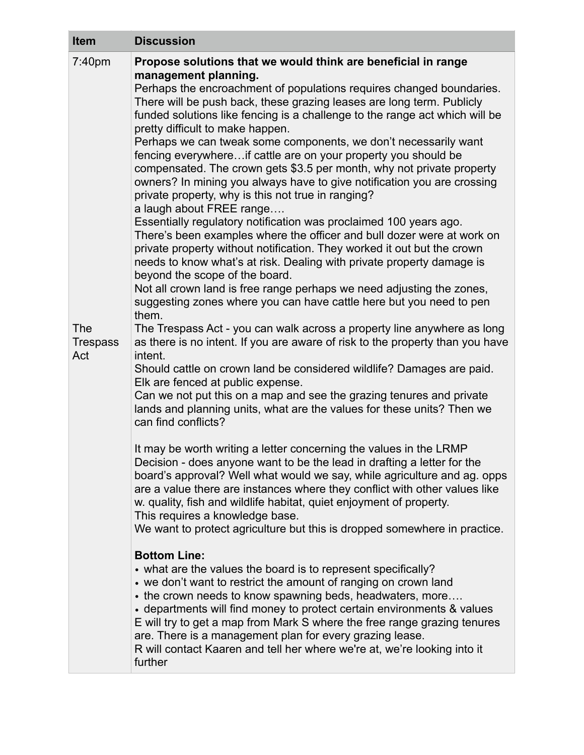| <b>Item</b>                                    | <b>Discussion</b>                                                                                                                                                                                                                                                                                                                                                                                                                                                                                                                                                                                                                                                                                                                                                                                                                                                                                                                                                                                                                                                                                                                                                                                                                                                                                                                                                                                                                                                                                                                                                                                                                                                                                                                                                                                                                                                                                                             |
|------------------------------------------------|-------------------------------------------------------------------------------------------------------------------------------------------------------------------------------------------------------------------------------------------------------------------------------------------------------------------------------------------------------------------------------------------------------------------------------------------------------------------------------------------------------------------------------------------------------------------------------------------------------------------------------------------------------------------------------------------------------------------------------------------------------------------------------------------------------------------------------------------------------------------------------------------------------------------------------------------------------------------------------------------------------------------------------------------------------------------------------------------------------------------------------------------------------------------------------------------------------------------------------------------------------------------------------------------------------------------------------------------------------------------------------------------------------------------------------------------------------------------------------------------------------------------------------------------------------------------------------------------------------------------------------------------------------------------------------------------------------------------------------------------------------------------------------------------------------------------------------------------------------------------------------------------------------------------------------|
| 7:40pm<br><b>The</b><br><b>Trespass</b><br>Act | Propose solutions that we would think are beneficial in range<br>management planning.<br>Perhaps the encroachment of populations requires changed boundaries.<br>There will be push back, these grazing leases are long term. Publicly<br>funded solutions like fencing is a challenge to the range act which will be<br>pretty difficult to make happen.<br>Perhaps we can tweak some components, we don't necessarily want<br>fencing everywhereif cattle are on your property you should be<br>compensated. The crown gets \$3.5 per month, why not private property<br>owners? In mining you always have to give notification you are crossing<br>private property, why is this not true in ranging?<br>a laugh about FREE range<br>Essentially regulatory notification was proclaimed 100 years ago.<br>There's been examples where the officer and bull dozer were at work on<br>private property without notification. They worked it out but the crown<br>needs to know what's at risk. Dealing with private property damage is<br>beyond the scope of the board.<br>Not all crown land is free range perhaps we need adjusting the zones,<br>suggesting zones where you can have cattle here but you need to pen<br>them.<br>The Trespass Act - you can walk across a property line anywhere as long<br>as there is no intent. If you are aware of risk to the property than you have<br>intent.<br>Should cattle on crown land be considered wildlife? Damages are paid.<br>Elk are fenced at public expense.<br>Can we not put this on a map and see the grazing tenures and private<br>lands and planning units, what are the values for these units? Then we<br>can find conflicts?<br>It may be worth writing a letter concerning the values in the LRMP<br>Decision - does anyone want to be the lead in drafting a letter for the<br>board's approval? Well what would we say, while agriculture and ag. opps |
|                                                | are a value there are instances where they conflict with other values like<br>w. quality, fish and wildlife habitat, quiet enjoyment of property.<br>This requires a knowledge base.<br>We want to protect agriculture but this is dropped somewhere in practice.                                                                                                                                                                                                                                                                                                                                                                                                                                                                                                                                                                                                                                                                                                                                                                                                                                                                                                                                                                                                                                                                                                                                                                                                                                                                                                                                                                                                                                                                                                                                                                                                                                                             |
|                                                | <b>Bottom Line:</b><br>• what are the values the board is to represent specifically?<br>• we don't want to restrict the amount of ranging on crown land<br>• the crown needs to know spawning beds, headwaters, more<br>• departments will find money to protect certain environments & values<br>E will try to get a map from Mark S where the free range grazing tenures<br>are. There is a management plan for every grazing lease.<br>R will contact Kaaren and tell her where we're at, we're looking into it<br>further                                                                                                                                                                                                                                                                                                                                                                                                                                                                                                                                                                                                                                                                                                                                                                                                                                                                                                                                                                                                                                                                                                                                                                                                                                                                                                                                                                                                 |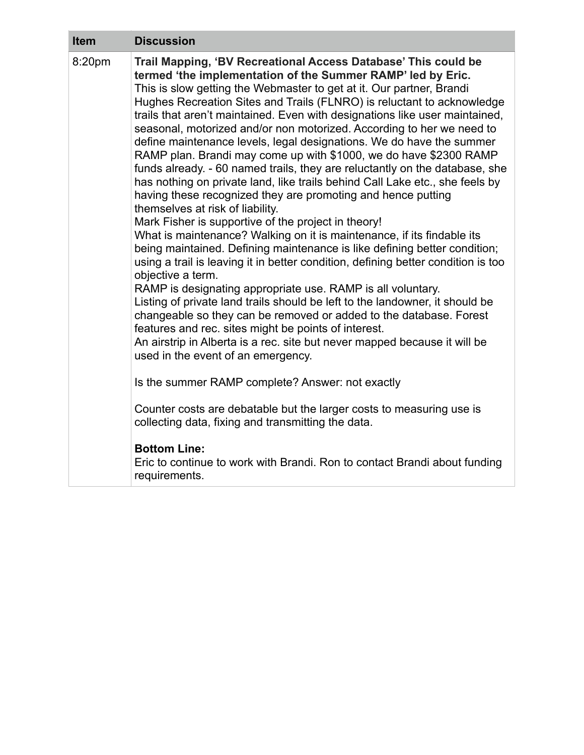| <b>Item</b> | <b>Discussion</b>                                                                                                                                                                                                                                                                                                                                                                                                                                                                                                                                                                                                                                                                                                                                                                                                                                                                                                                                                                                                                                                                                                                                                                                                                                                                                                                                                                                                                                                                                                                                                               |
|-------------|---------------------------------------------------------------------------------------------------------------------------------------------------------------------------------------------------------------------------------------------------------------------------------------------------------------------------------------------------------------------------------------------------------------------------------------------------------------------------------------------------------------------------------------------------------------------------------------------------------------------------------------------------------------------------------------------------------------------------------------------------------------------------------------------------------------------------------------------------------------------------------------------------------------------------------------------------------------------------------------------------------------------------------------------------------------------------------------------------------------------------------------------------------------------------------------------------------------------------------------------------------------------------------------------------------------------------------------------------------------------------------------------------------------------------------------------------------------------------------------------------------------------------------------------------------------------------------|
| 8:20pm      | Trail Mapping, 'BV Recreational Access Database' This could be<br>termed 'the implementation of the Summer RAMP' led by Eric.<br>This is slow getting the Webmaster to get at it. Our partner, Brandi<br>Hughes Recreation Sites and Trails (FLNRO) is reluctant to acknowledge<br>trails that aren't maintained. Even with designations like user maintained,<br>seasonal, motorized and/or non motorized. According to her we need to<br>define maintenance levels, legal designations. We do have the summer<br>RAMP plan. Brandi may come up with \$1000, we do have \$2300 RAMP<br>funds already. - 60 named trails, they are reluctantly on the database, she<br>has nothing on private land, like trails behind Call Lake etc., she feels by<br>having these recognized they are promoting and hence putting<br>themselves at risk of liability.<br>Mark Fisher is supportive of the project in theory!<br>What is maintenance? Walking on it is maintenance, if its findable its<br>being maintained. Defining maintenance is like defining better condition;<br>using a trail is leaving it in better condition, defining better condition is too<br>objective a term.<br>RAMP is designating appropriate use. RAMP is all voluntary.<br>Listing of private land trails should be left to the landowner, it should be<br>changeable so they can be removed or added to the database. Forest<br>features and rec. sites might be points of interest.<br>An airstrip in Alberta is a rec. site but never mapped because it will be<br>used in the event of an emergency. |
|             | Is the summer RAMP complete? Answer: not exactly                                                                                                                                                                                                                                                                                                                                                                                                                                                                                                                                                                                                                                                                                                                                                                                                                                                                                                                                                                                                                                                                                                                                                                                                                                                                                                                                                                                                                                                                                                                                |
|             | Counter costs are debatable but the larger costs to measuring use is<br>collecting data, fixing and transmitting the data.                                                                                                                                                                                                                                                                                                                                                                                                                                                                                                                                                                                                                                                                                                                                                                                                                                                                                                                                                                                                                                                                                                                                                                                                                                                                                                                                                                                                                                                      |
|             | <b>Bottom Line:</b><br>Eric to continue to work with Brandi. Ron to contact Brandi about funding<br>requirements.                                                                                                                                                                                                                                                                                                                                                                                                                                                                                                                                                                                                                                                                                                                                                                                                                                                                                                                                                                                                                                                                                                                                                                                                                                                                                                                                                                                                                                                               |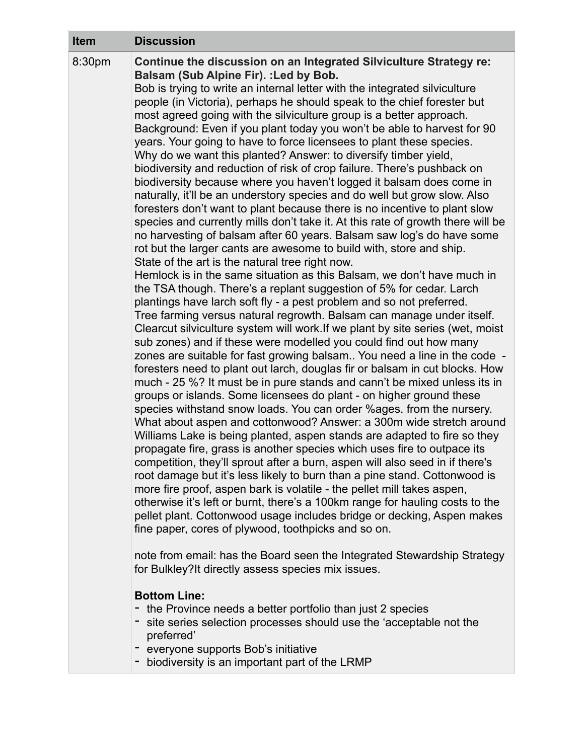| <b>Item</b> | <b>Discussion</b>                                                                                                                                                                                                                                                                                                                                                                                                                                                                                                                                                                                                                                                                                                                                                                                                                                                                                                                                                                                                                                                                                                                                                                                                                                                                                                                                                                                                                                                                                                                                                                                                                                                                                                                                                                                                                                                                                                                                                                                                                                                                                                                                                                                                                                                                                                                                                                                                                                                                                                                                                                                                                                                                                                                                                                                                                                                   |
|-------------|---------------------------------------------------------------------------------------------------------------------------------------------------------------------------------------------------------------------------------------------------------------------------------------------------------------------------------------------------------------------------------------------------------------------------------------------------------------------------------------------------------------------------------------------------------------------------------------------------------------------------------------------------------------------------------------------------------------------------------------------------------------------------------------------------------------------------------------------------------------------------------------------------------------------------------------------------------------------------------------------------------------------------------------------------------------------------------------------------------------------------------------------------------------------------------------------------------------------------------------------------------------------------------------------------------------------------------------------------------------------------------------------------------------------------------------------------------------------------------------------------------------------------------------------------------------------------------------------------------------------------------------------------------------------------------------------------------------------------------------------------------------------------------------------------------------------------------------------------------------------------------------------------------------------------------------------------------------------------------------------------------------------------------------------------------------------------------------------------------------------------------------------------------------------------------------------------------------------------------------------------------------------------------------------------------------------------------------------------------------------------------------------------------------------------------------------------------------------------------------------------------------------------------------------------------------------------------------------------------------------------------------------------------------------------------------------------------------------------------------------------------------------------------------------------------------------------------------------------------------------|
| 8:30pm      | Continue the discussion on an Integrated Silviculture Strategy re:<br>Balsam (Sub Alpine Fir). : Led by Bob.<br>Bob is trying to write an internal letter with the integrated silviculture<br>people (in Victoria), perhaps he should speak to the chief forester but<br>most agreed going with the silviculture group is a better approach.<br>Background: Even if you plant today you won't be able to harvest for 90<br>years. Your going to have to force licensees to plant these species.<br>Why do we want this planted? Answer: to diversify timber yield,<br>biodiversity and reduction of risk of crop failure. There's pushback on<br>biodiversity because where you haven't logged it balsam does come in<br>naturally, it'll be an understory species and do well but grow slow. Also<br>foresters don't want to plant because there is no incentive to plant slow<br>species and currently mills don't take it. At this rate of growth there will be<br>no harvesting of balsam after 60 years. Balsam saw log's do have some<br>rot but the larger cants are awesome to build with, store and ship.<br>State of the art is the natural tree right now.<br>Hemlock is in the same situation as this Balsam, we don't have much in<br>the TSA though. There's a replant suggestion of 5% for cedar. Larch<br>plantings have larch soft fly - a pest problem and so not preferred.<br>Tree farming versus natural regrowth. Balsam can manage under itself.<br>Clearcut silviculture system will work. If we plant by site series (wet, moist<br>sub zones) and if these were modelled you could find out how many<br>zones are suitable for fast growing balsam You need a line in the code -<br>foresters need to plant out larch, douglas fir or balsam in cut blocks. How<br>much - 25 %? It must be in pure stands and cann't be mixed unless its in<br>groups or islands. Some licensees do plant - on higher ground these<br>species withstand snow loads. You can order %ages. from the nursery.<br>What about aspen and cottonwood? Answer: a 300m wide stretch around<br>Williams Lake is being planted, aspen stands are adapted to fire so they<br>propagate fire, grass is another species which uses fire to outpace its<br>competition, they'll sprout after a burn, aspen will also seed in if there's<br>root damage but it's less likely to burn than a pine stand. Cottonwood is<br>more fire proof, aspen bark is volatile - the pellet mill takes aspen,<br>otherwise it's left or burnt, there's a 100km range for hauling costs to the<br>pellet plant. Cottonwood usage includes bridge or decking, Aspen makes<br>fine paper, cores of plywood, toothpicks and so on.<br>note from email: has the Board seen the Integrated Stewardship Strategy<br>for Bulkley? It directly assess species mix issues.<br><b>Bottom Line:</b> |
|             | the Province needs a better portfolio than just 2 species<br>corios coloction processos chould use the <i>'accorteble pet the</i>                                                                                                                                                                                                                                                                                                                                                                                                                                                                                                                                                                                                                                                                                                                                                                                                                                                                                                                                                                                                                                                                                                                                                                                                                                                                                                                                                                                                                                                                                                                                                                                                                                                                                                                                                                                                                                                                                                                                                                                                                                                                                                                                                                                                                                                                                                                                                                                                                                                                                                                                                                                                                                                                                                                                   |

- site series selection processes should use the 'acceptable not the preferred'
	- everyone supports Bob's initiative
- biodiversity is an important part of the LRMP